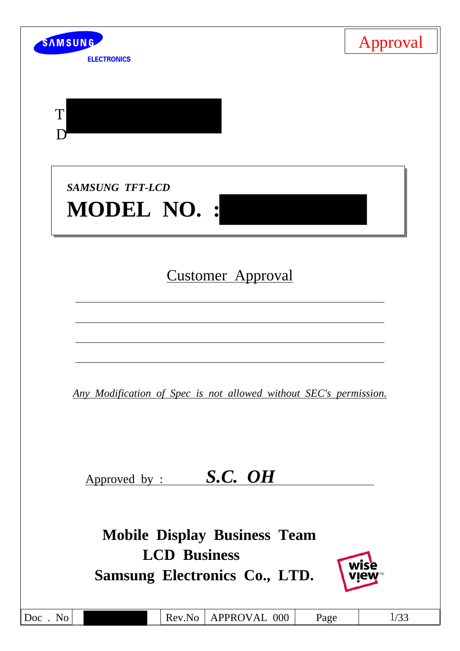| SAMSUNG<br><b>ELECTRONICS</b>                                                                      | Approval |
|----------------------------------------------------------------------------------------------------|----------|
|                                                                                                    |          |
| T                                                                                                  |          |
| <b>SAMSUNG TFT-LCD</b><br><b>MODEL NO.:</b>                                                        |          |
| <b>Customer Approval</b>                                                                           |          |
| Any Modification of Spec is not allowed without SEC's permission.                                  |          |
| S.C. OH<br>Approved by :                                                                           |          |
| <b>Mobile Display Business Team</b><br><b>LCD Business</b><br><b>Samsung Electronics Co., LTD.</b> |          |
| Rev.No<br>APPROVAL 000<br>Doc. No<br>Page                                                          | 1/33     |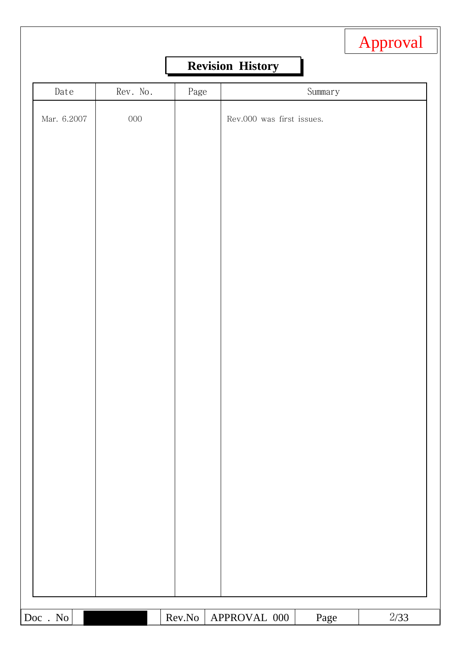|             |          |      |                           | Approval |
|-------------|----------|------|---------------------------|----------|
|             |          |      | <b>Revision History</b>   |          |
| Date        | Rev. No. | Page | Summary                   |          |
| Mar. 6.2007 | $000\,$  |      | Rev.000 was first issues. |          |
|             |          |      |                           |          |
|             |          |      |                           |          |
|             |          |      |                           |          |
|             |          |      |                           |          |
|             |          |      |                           |          |
|             |          |      |                           |          |
|             |          |      |                           |          |
|             |          |      |                           |          |
|             |          |      |                           |          |
|             |          |      |                           |          |
|             |          |      |                           |          |
|             |          |      |                           |          |
|             |          |      |                           |          |
|             |          |      |                           |          |
|             |          |      |                           |          |
|             |          |      |                           |          |
|             |          |      |                           |          |
|             |          |      |                           |          |
|             |          |      |                           |          |
|             |          |      |                           |          |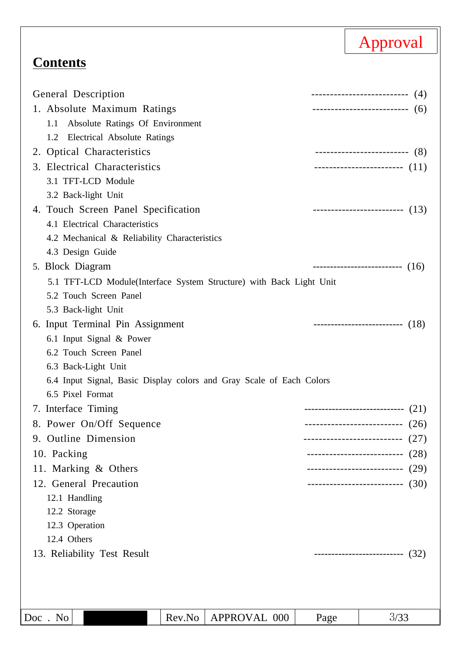# **Contents**

| General Description                                                  |                            | --------------------------- (4)     |
|----------------------------------------------------------------------|----------------------------|-------------------------------------|
| 1. Absolute Maximum Ratings                                          |                            | --------------------------- (6)     |
| 1.1 Absolute Ratings Of Environment                                  |                            |                                     |
| 1.2 Electrical Absolute Ratings                                      |                            |                                     |
| 2. Optical Characteristics                                           |                            | ---------------------------- (8)    |
| 3. Electrical Characteristics                                        |                            | ------------------------- (11)      |
| 3.1 TFT-LCD Module                                                   |                            |                                     |
| 3.2 Back-light Unit                                                  |                            |                                     |
| 4. Touch Screen Panel Specification                                  |                            | --------------------------- $(13)$  |
| 4.1 Electrical Characteristics                                       |                            |                                     |
| 4.2 Mechanical & Reliability Characteristics                         |                            |                                     |
| 4.3 Design Guide                                                     |                            |                                     |
| 5. Block Diagram                                                     |                            | ---------------------------- $(16)$ |
| 5.1 TFT-LCD Module (Interface System Structure) with Back Light Unit |                            |                                     |
| 5.2 Touch Screen Panel                                               |                            |                                     |
| 5.3 Back-light Unit                                                  |                            |                                     |
| 6. Input Terminal Pin Assignment                                     |                            | ---------------------------- $(18)$ |
| 6.1 Input Signal & Power                                             |                            |                                     |
| 6.2 Touch Screen Panel                                               |                            |                                     |
| 6.3 Back-Light Unit                                                  |                            |                                     |
| 6.4 Input Signal, Basic Display colors and Gray Scale of Each Colors |                            |                                     |
| 6.5 Pixel Format                                                     |                            |                                     |
| 7. Interface Timing                                                  |                            | -----------------------------(21)   |
| 8. Power On/Off Sequence                                             |                            | --------------------------- $(26)$  |
| 9. Outline Dimension                                                 |                            | (27)                                |
| 10. Packing                                                          | -------------------------- | (28)                                |
| 11. Marking & Others                                                 | -------------------------- | (29)                                |
| 12. General Precaution                                               |                            | --------------------------- (30)    |
| 12.1 Handling                                                        |                            |                                     |
| 12.2 Storage                                                         |                            |                                     |
| 12.3 Operation                                                       |                            |                                     |
| 12.4 Others                                                          |                            |                                     |
| 13. Reliability Test Result                                          |                            | ---------------------------(32)     |
|                                                                      |                            |                                     |
|                                                                      |                            |                                     |
|                                                                      |                            |                                     |
| Rev.No<br>APPROVAL 000<br>Doc. No                                    | Page                       | 3/33                                |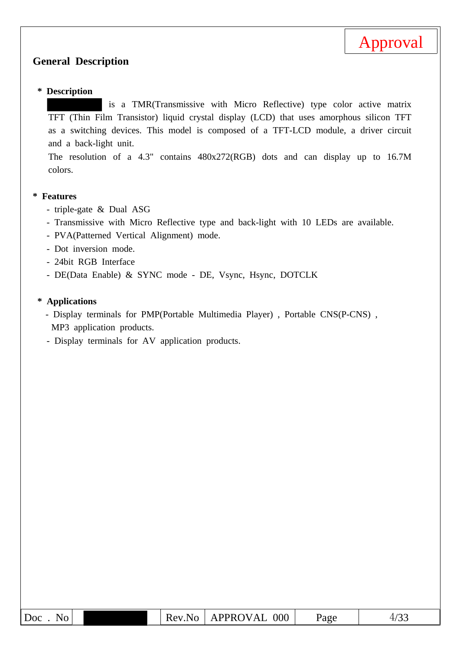

#### **General Description**

#### **\* Description**

is a TMR(Transmissive with Micro Reflective) type color active matrix TFT (Thin Film Transistor) liquid crystal display (LCD) that uses amorphous silicon TFT as a switching devices. This model is composed of a TFT-LCD module, a driver circuit and a back-light unit.

The resolution of a 4.3" contains 480x272(RGB) dots and can display up to 16.7M colors.

#### **\* Features**

- triple-gate & Dual ASG
- Transmissive with Micro Reflective type and back-light with 10 LEDs are available.
- PVA(Patterned Vertical Alignment) mode.
- Dot inversion mode.
- 24bit RGB Interface
- DE(Data Enable) & SYNC mode DE, Vsync, Hsync, DOTCLK

#### **\* Applications**

- Display terminals for PMP(Portable Multimedia Player) , Portable CNS(P-CNS) , MP3 application products.
- Display terminals for AV application products.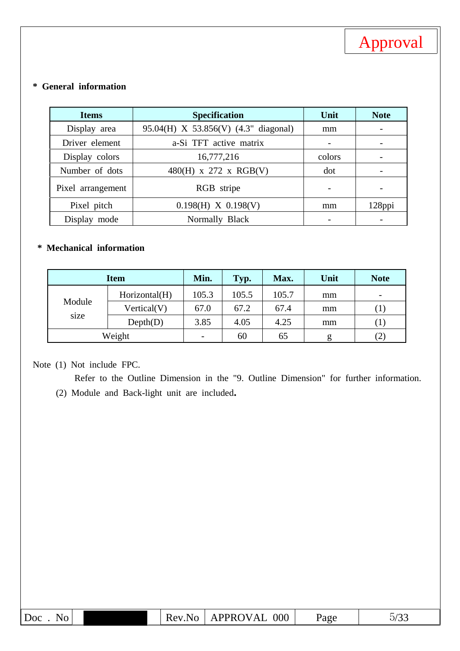

### **\* General information**

| <b>Items</b>      | <b>Specification</b>                 | Unit                     | <b>Note</b>              |
|-------------------|--------------------------------------|--------------------------|--------------------------|
| Display area      | 95.04(H) X 53.856(V) (4.3" diagonal) | mm                       |                          |
| Driver element    | a-Si TFT active matrix               |                          | $\overline{\phantom{a}}$ |
| Display colors    | 16,777,216                           | colors                   |                          |
| Number of dots    | 480(H) x 272 x RGB(V)                | dot                      |                          |
| Pixel arrangement | RGB stripe                           | $\qquad \qquad$          |                          |
| Pixel pitch       | $0.198(H)$ X $0.198(V)$              | mm                       | 128ppi                   |
| Display mode      | Normally Black                       | $\overline{\phantom{0}}$ |                          |

### **\* Mechanical information**

| <b>Item</b>    |               | Min.  | Typ.  | Max.  | Unit | <b>Note</b> |
|----------------|---------------|-------|-------|-------|------|-------------|
|                | Horizontal(H) | 105.3 | 105.5 | 105.7 | mm   | -           |
| Module<br>size | Vertical(V)   | 67.0  | 67.2  | 67.4  | mm   | $\perp$     |
|                | Depth(D)      | 3.85  | 4.05  | 4.25  | mm   | $\perp$     |
|                | Weight        | -     | 60    | 65    | g    | (2)         |

## Note (1) Not include FPC.

Refer to the Outline Dimension in the "9. Outline Dimension" for further information. (2) Module and Back-light unit are included**.**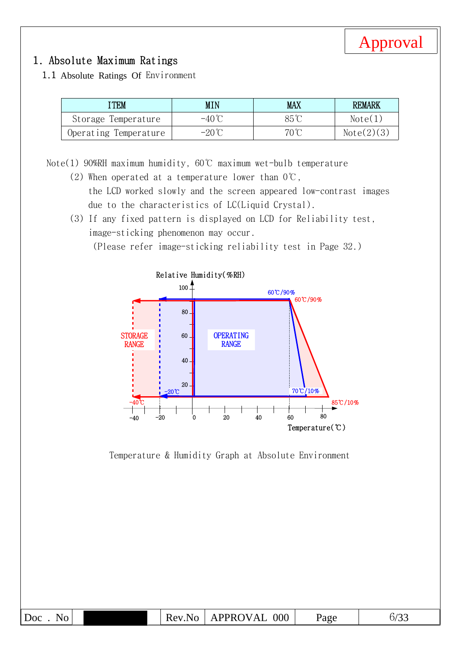

## 1. Absolute Maximum Ratings

1.1 Absolute Ratings Of Environment

| <b>TEM</b>            | <b>MIN</b>      | <b>MAX</b>     | <b>REMARK</b> |
|-----------------------|-----------------|----------------|---------------|
| Storage Temperature   | $-40^{\circ}$   | $85^\circ$     | Note(1)       |
| Operating Temperature | $-20^{\circ}$ C | $70^{\circ}$ C | Note(2)(3)    |

Note(1) 90%RH maximum humidity, 60℃ maximum wet-bulb temperature

- (2) When operated at a temperature lower than  $0^{\circ}\text{C}$ , the LCD worked slowly and the screen appeared low-contrast images due to the characteristics of LC(Liquid Crystal).
- (3) If any fixed pattern is displayed on LCD for Reliability test, image-sticking phenomenon may occur.

(Please refer image-sticking reliability test in Page 32.)



Temperature & Humidity Graph at Absolute Environment

| Doc<br>NO | Rev<br>N<br>╶ | <b>PPROV</b><br>000<br>'AL<br>$\Lambda$ | Page | $\sqrt{2}$<br>O/<br>ັບ ⊖ |
|-----------|---------------|-----------------------------------------|------|--------------------------|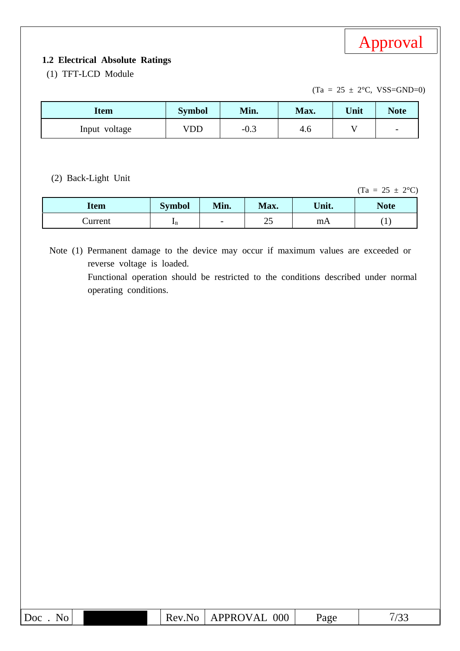

#### **1.2 Electrical Absolute Ratings**

(1) TFT-LCD Module

 $(Ta = 25 \pm 2$ °C, VSS=GND=0)

| Item          | <b>Symbol</b> | Min.   | Max. | Unit | <b>Note</b>              |
|---------------|---------------|--------|------|------|--------------------------|
| Input voltage | VDD           | $-0.5$ | 4.0  |      | $\overline{\phantom{0}}$ |

(2) Back-Light Unit

 $(Ta = 25 \pm 2^{\circ}C)$ 

| Item    | Symbol       | Min.                     | Max. | Unit. | <b>Note</b> |
|---------|--------------|--------------------------|------|-------|-------------|
| Current | $\mathbf{I}$ | $\overline{\phantom{0}}$ | ت    | mA    | <b>.</b>    |

Note (1) Permanent damage to the device may occur if maximum values are exceeded or reverse voltage is loaded. Functional operation should be restricted to the conditions described under normal operating conditions.

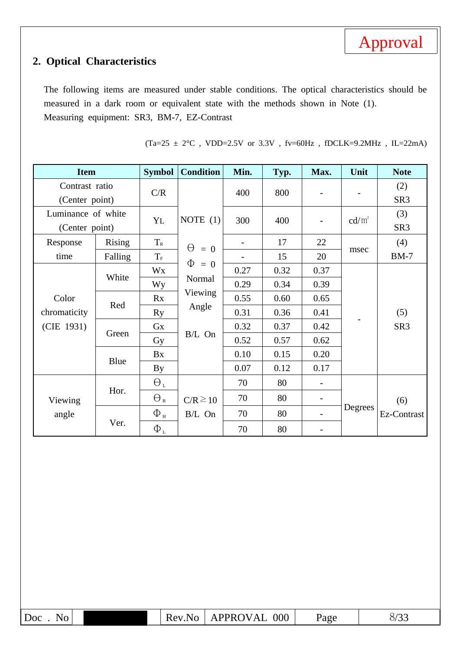

# **2. Optical Characteristics**

The following items are measured under stable conditions. The optical characteristics should be measured in a dark room or equivalent state with the methods shown in Note (1). Measuring equipment: SR3, BM-7, EZ-Contrast

| <b>Item</b>        |         | <b>Symbol</b>                 | <b>Condition</b>       | Min. | Typ. | Max.                         | Unit            | <b>Note</b>     |
|--------------------|---------|-------------------------------|------------------------|------|------|------------------------------|-----------------|-----------------|
| Contrast ratio     |         | C/R                           |                        | 400  | 800  |                              |                 | (2)             |
| (Center point)     |         |                               |                        |      |      | $\overline{\phantom{0}}$     |                 | SR <sub>3</sub> |
| Luminance of white |         |                               | NOTE $(1)$             |      |      |                              |                 | (3)             |
| (Center point)     |         | YL                            |                        | 300  | 400  | $\overline{\phantom{0}}$     | $\text{cd/m}^2$ | SR <sub>3</sub> |
| Response           | Rising  | $T_{\scriptscriptstyle R}$    | $\Theta$<br>$= 0$<br>Φ |      | 17   | 22                           |                 | (4)             |
| time               | Falling | $T_{\scriptscriptstyle\rm F}$ |                        |      | 15   | 20                           | msec            | $BM-7$          |
| White              | Wx      | $= 0$                         | 0.27                   | 0.32 | 0.37 |                              |                 |                 |
|                    |         | <b>Wy</b>                     | Normal                 | 0.29 | 0.34 | 0.39                         |                 |                 |
| Color              | Red     | Rx                            | Viewing                | 0.55 | 0.60 | 0.65                         |                 |                 |
| chromaticity       |         | <b>Ry</b>                     | Angle                  | 0.31 | 0.36 | 0.41                         |                 | (5)             |
| (CIE 1931)         | Green   | Gx                            | B/L On                 | 0.32 | 0.37 | 0.42                         |                 | SR <sub>3</sub> |
|                    |         | Gy                            |                        | 0.52 | 0.57 | 0.62                         |                 |                 |
|                    |         | Bx                            |                        | 0.10 | 0.15 | 0.20                         |                 |                 |
|                    | Blue    | By                            |                        | 0.07 | 0.12 | 0.17                         |                 |                 |
|                    |         | $\Theta_L$                    |                        | 70   | 80   | $\overline{\phantom{0}}$     |                 |                 |
| Viewing            | Hor.    | $\Theta_{\textrm{\tiny R}}$   | $C/R \ge 10$           | 70   | 80   | $\overline{\phantom{a}}$     |                 | (6)             |
| angle              |         | $\Phi$ <sub>H</sub>           | B/L On                 | 70   | 80   |                              | Degrees         | Ez-Contrast     |
|                    | Ver.    | $\Phi_{\mbox{\tiny L}}$       |                        | 70   | 80   | $\qquad \qquad \blacksquare$ |                 |                 |

(Ta=25  $\pm$  2°C , VDD=2.5V or 3.3V , fv=60Hz , fDCLK=9.2MHz , IL=22mA)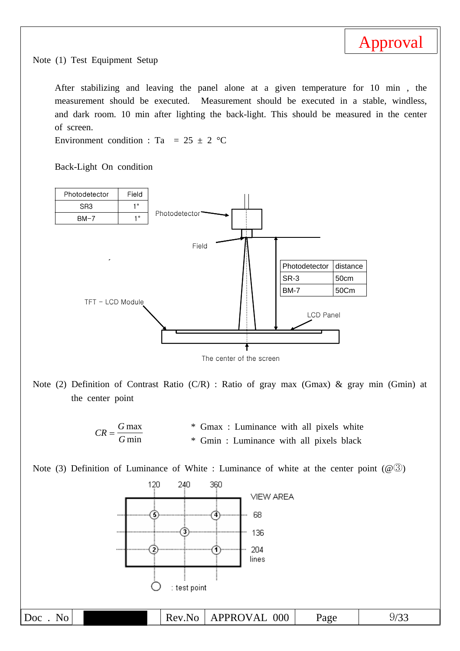

Note (1) Test Equipment Setup

After stabilizing and leaving the panel alone at a given temperature for 10 min , the measurement should be executed. Measurement should be executed in a stable, windless, and dark room. 10 min after lighting the back-light. This should be measured in the center of screen.

Environment condition : Ta = 25  $\pm$  2 °C

Back-Light On condition





Note (2) Definition of Contrast Ratio (C/R) : Ratio of gray max (Gmax) & gray min (Gmin) at the center point



Note (3) Definition of Luminance of White : Luminance of white at the center point  $(\mathcal{Q}(\mathcal{S}))$ 

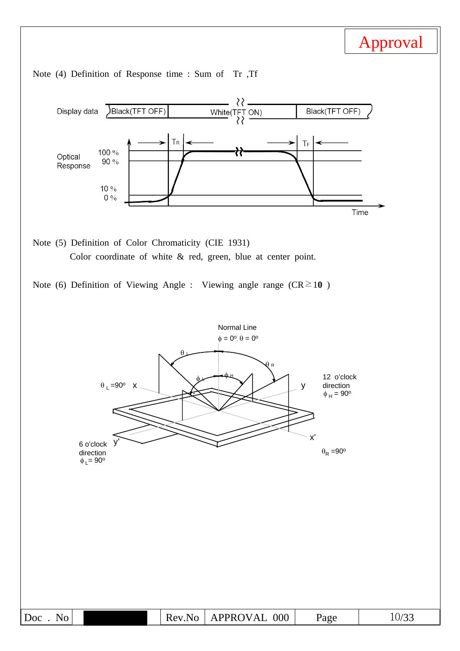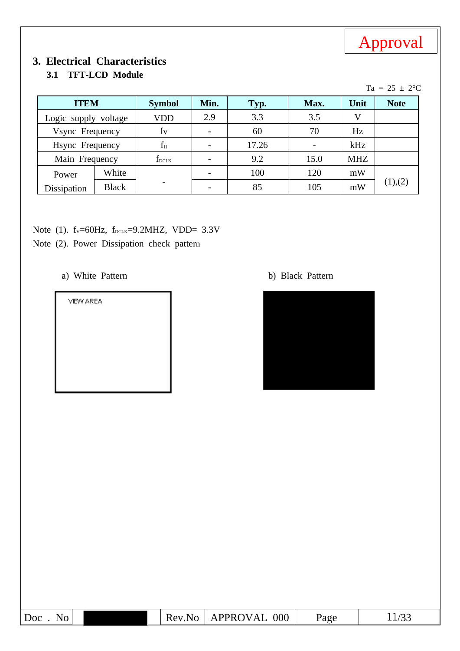

# **3. Electrical Characteristics**

### **3.1 TFT-LCD Module**

|                      |              |                |      |       |      |            | $Ta = 25 \pm 2$ °C |
|----------------------|--------------|----------------|------|-------|------|------------|--------------------|
| <b>ITEM</b>          |              | <b>Symbol</b>  | Min. | Typ.  | Max. | Unit       | <b>Note</b>        |
| Logic supply voltage |              | <b>VDD</b>     | 2.9  | 3.3   | 3.5  | V          |                    |
| Vsync Frequency      |              | fy             |      | 60    | 70   | Hz         |                    |
| Hsync Frequency      |              | $f_H$          |      | 17.26 |      | kHz        |                    |
| Main Frequency       |              | $f_{\rm DCLK}$ |      | 9.2   | 15.0 | <b>MHZ</b> |                    |
| Power                | White        |                |      | 100   | 120  | mW         |                    |
| Dissipation          | <b>Black</b> |                |      | 85    | 105  | mW         | (1),(2)            |

- Note (1).  $f_v = 60Hz$ ,  $f_{DCLK} = 9.2MHz$ , VDD= 3.3V
- Note (2). Power Dissipation check pattern
	- a) White Pattern b) Black Pattern

VIEW AREA



| Doc<br>No | Rev.<br>Nο | <b>APPROVAL</b><br>000 | Page | $\sqrt{ }$<br>∸∸/ JJ |
|-----------|------------|------------------------|------|----------------------|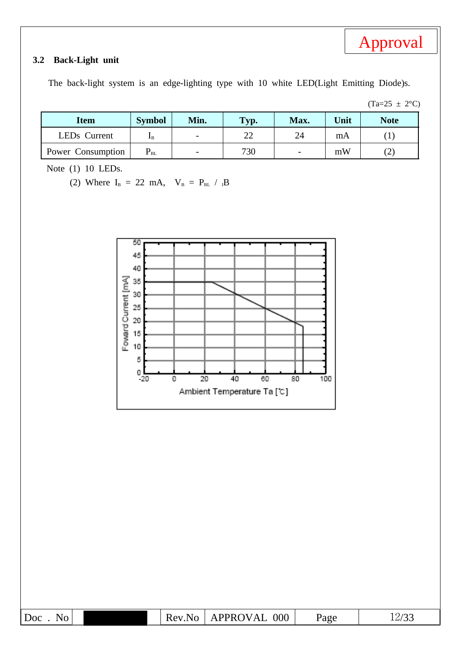#### **3.2 Back-Light unit**

The back-light system is an edge-lighting type with 10 white LED(Light Emitting Diode)s.

 $(Ta=25 \pm 2^{\circ}C)$ 

| <b>Item</b>              | <b>Symbol</b>     | Min.                     | Typ.         | Max.                     | Unit | <b>Note</b>             |
|--------------------------|-------------------|--------------------------|--------------|--------------------------|------|-------------------------|
| LED <sub>s</sub> Current | TВ                | $\overline{\phantom{0}}$ | $\cap$<br>∠∠ | 24                       | mA   |                         |
| Power Consumption        | $\mathrm{P_{BL}}$ | $\overline{\phantom{0}}$ | 730          | $\overline{\phantom{0}}$ | mW   | $\curvearrowright$<br>ے |

Note (1) 10 LEDs.

(2) Where  $I_B = 22$  mA,  $V_B = P_{BL} / {}_1B$ 

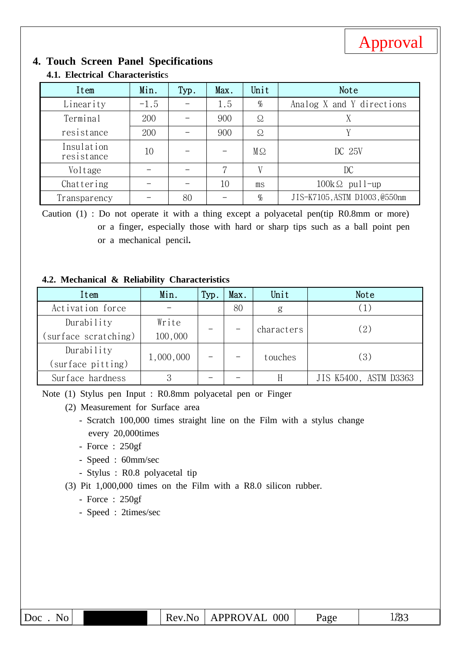

# **4. Touch Screen Panel Specifications**

| Item                     | Min.   | Typ. | Max. | Unit      | Note                          |
|--------------------------|--------|------|------|-----------|-------------------------------|
| Linearity                | $-1.5$ |      | 1.5  | $\%$      | Analog X and Y directions     |
| Terminal                 | 200    |      | 900  | Ω         |                               |
| resistance               | 200    |      | 900  | $\Omega$  | V                             |
| Insulation<br>resistance | 10     |      |      | $M\Omega$ | DC 25V                        |
| Voltage                  |        |      | 7    | V         | DC                            |
| Chattering               |        |      | 10   | ms        | $100k\Omega$ pull-up          |
| Transparency             |        | 80   |      | %         | JIS-K7105, ASTM D1003, @550nm |

### **4.1. Electrical Characteristic**s

Caution (1) : Do not operate it with a thing except a polyacetal pen(tip R0.8mm or more) or a finger, especially those with hard or sharp tips such as a ball point pen or a mechanical pencil**.**

#### **4.2. Mechanical & Reliability Characteristics**

| Item                 | Min.      | Typ. | Max.    | Unit       | Note                  |  |  |
|----------------------|-----------|------|---------|------------|-----------------------|--|--|
| Activation force     |           |      | 80      | g          |                       |  |  |
| Durability           | Write     |      |         |            | (2)                   |  |  |
| (surface scratching) | 100,000   |      |         | characters |                       |  |  |
| Durability           |           |      |         |            |                       |  |  |
| (surface pitting)    | 1,000,000 |      | touches |            | (3)                   |  |  |
| Surface hardness     | Q         |      |         |            | JIS K5400, ASTM D3363 |  |  |

Note (1) Stylus pen Input : R0.8mm polyacetal pen or Finger

- (2) Measurement for Surface area
	- Scratch 100,000 times straight line on the Film with a stylus change every 20,000times
	- Force : 250gf
	- Speed : 60mm/sec
	- Stylus : R0.8 polyacetal tip
- (3) Pit 1,000,000 times on the Film with a R8.0 silicon rubber.
	- Force : 250gf
	- Speed : 2times/sec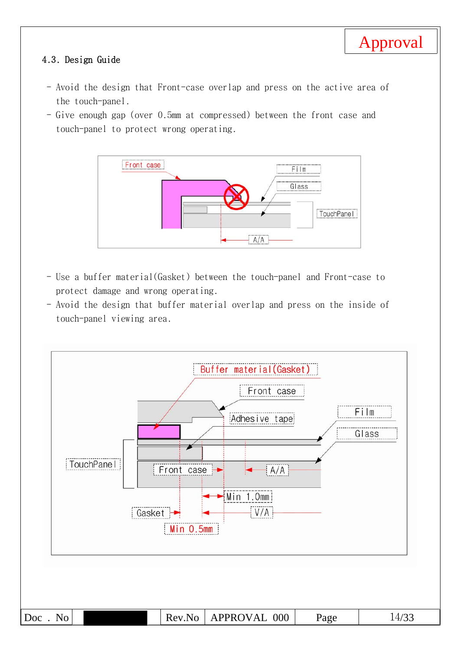#### 4.3. Design Guide

- Avoid the design that Front-case overlap and press on the active area of the touch-panel.
- Give enough gap (over 0.5mm at compressed) between the front case and touch-panel to protect wrong operating.



- Use a buffer material(Gasket) between the touch-panel and Front-case to protect damage and wrong operating.
- Avoid the design that buffer material overlap and press on the inside of touch-panel viewing area.

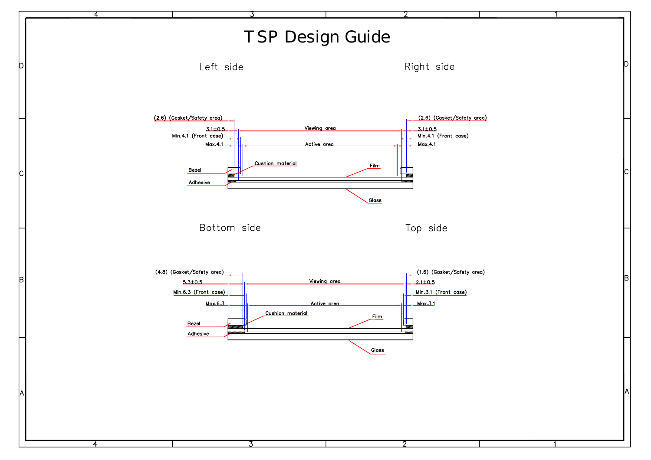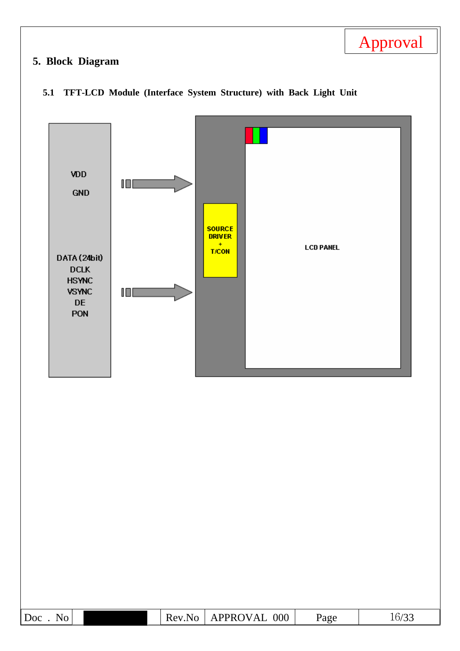# **5. Block Diagram**



#### **5.1 TFT-LCD Module (Interface System Structure) with Back Light Unit**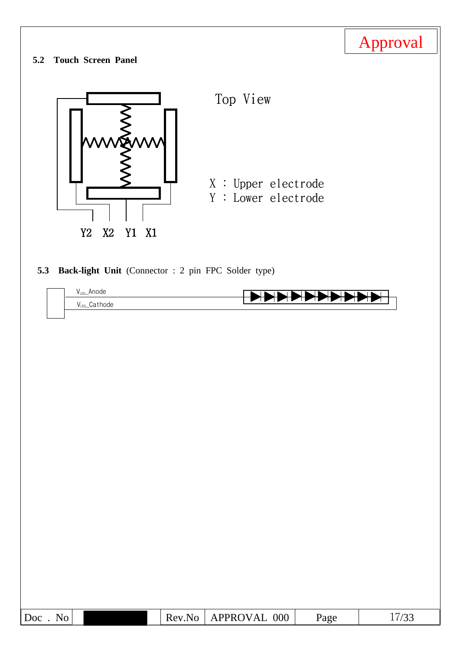|                                                           |        |                                            |          | Approval |
|-----------------------------------------------------------|--------|--------------------------------------------|----------|----------|
| <b>Touch Screen Panel</b><br>5.2                          |        |                                            |          |          |
|                                                           |        | Top View                                   |          |          |
| Y <sub>2</sub><br>X2<br>Y1 X1                             |        | X : Upper electrode<br>Y : Lower electrode |          |          |
| Back-light Unit (Connector: 2 pin FPC Solder type)<br>5.3 |        |                                            |          |          |
| $V_{LED}\_$ Anode<br>VLED_Cathode                         |        |                                            | −⊓<br>−⊤ |          |
|                                                           |        |                                            |          |          |
|                                                           |        |                                            |          |          |
|                                                           |        |                                            |          |          |
|                                                           |        |                                            |          |          |
|                                                           |        |                                            |          |          |
|                                                           |        |                                            |          |          |
|                                                           |        |                                            |          |          |
|                                                           |        |                                            |          |          |
|                                                           |        |                                            |          |          |
|                                                           |        |                                            |          |          |
|                                                           |        |                                            |          |          |
|                                                           |        |                                            |          |          |
| Doc. No                                                   | Rev.No | APPROVAL 000                               | Page     | 17/33    |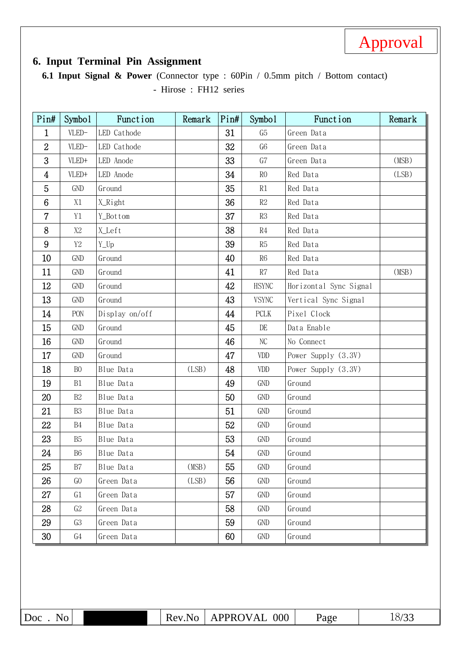

## **6. Input Terminal Pin Assignment**

**6.1 Input Signal & Power** (Connector type : 60Pin / 0.5mm pitch / Bottom contact) - Hirose : FH12 series

| Pin#            | Symbo <sub>1</sub>  | Function       | Remark | Pin# | Symbo1                      | Function               | Remark |
|-----------------|---------------------|----------------|--------|------|-----------------------------|------------------------|--------|
| $\mathbf{1}$    | $VLED-$             | LED Cathode    |        | 31   | G <sub>5</sub>              | Green Data             |        |
| $\overline{2}$  | VLED-               | LED Cathode    |        | 32   | G <sub>6</sub>              | Green Data             |        |
| 3               | VLED+               | LED Anode      |        | 33   | G7                          | Green Data             | (MSB)  |
| $\overline{4}$  | VLED+               | LED Anode      |        | 34   | R <sub>0</sub>              | Red Data               | (LSB)  |
| 5               | GND                 | Ground         |        | 35   | R1                          | Red Data               |        |
| $6\phantom{.}6$ | X1                  | X_Right        |        | 36   | $\mathbb{R}2$               | Red Data               |        |
| $\overline{7}$  | Y1                  | Y_Bottom       |        | 37   | $\mathbb{R}3$               | Red Data               |        |
| 8               | X2                  | X_Left         |        | 38   | $\mathbb{R}4$               | Red Data               |        |
| 9               | $\operatorname{Y2}$ | Y_Up           |        | 39   | R5                          | Red Data               |        |
| 10 <sup>°</sup> | GND                 | Ground         |        | 40   | ${\rm R}6$                  | Red Data               |        |
| 11              | GND                 | Ground         |        | 41   | $\mathbb{R}7$               | Red Data               | (MSB)  |
| 12              | GND                 | Ground         |        | 42   | <b>HSYNC</b>                | Horizontal Sync Signal |        |
| 13              | GND                 | Ground         |        | 43   | <b>VSYNC</b>                | Vertical Sync Signal   |        |
| 14              | PON                 | Display on/off |        | 44   | PCLK                        | Pixel Clock            |        |
| 15              | GND                 | Ground         |        | 45   | DE                          | Data Enable            |        |
| 16              | GND                 | Ground         |        | 46   | $\rm NC$                    | No Connect             |        |
| 17              | GND                 | Ground         |        | 47   | <b>VDD</b>                  | Power Supply (3.3V)    |        |
| 18              | B <sub>0</sub>      | Blue Data      | (LSB)  | 48   | $\ensuremath{\mathrm{VDD}}$ | Power Supply (3.3V)    |        |
| 19              | B1                  | Blue Data      |        | 49   | <b>GND</b>                  | Ground                 |        |
| 20              | B2                  | Blue Data      |        | 50   | <b>GND</b>                  | Ground                 |        |
| 21              | <b>B3</b>           | Blue Data      |        | 51   | <b>GND</b>                  | Ground                 |        |
| 22              | B4                  | Blue Data      |        | 52   | <b>GND</b>                  | Ground                 |        |
| 23              | <b>B5</b>           | Blue Data      |        | 53   | GND                         | Ground                 |        |
| 24              | <b>B6</b>           | Blue Data      |        | 54   | GND                         | Ground                 |        |
| 25              | B7                  | Blue Data      | (MSB)  | 55   | GND                         | Ground                 |        |
| 26              | G <sub>0</sub>      | Green Data     | (LSB)  | 56   | <b>GND</b>                  | Ground                 |        |
| 27              | G1                  | Green Data     |        | 57   | <b>GND</b>                  | Ground                 |        |
| 28              | G2                  | Green Data     |        | 58   | <b>GND</b>                  | Ground                 |        |
| 29              | G3                  | Green Data     |        | 59   | GND                         | Ground                 |        |
| 30              | G4                  | Green Data     |        | 60   | GND                         | Ground                 |        |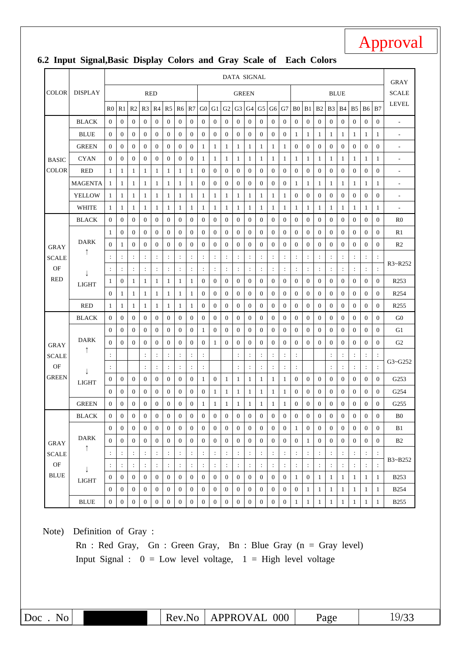#### COLOR DISPLAY DATA SIGNAL GRAY **SCALE** LEVEL RED RED GREEN BLUE R0 | R1 | R2 | R3 | R4 | R5 | R6 | R7 | G0 | G1 | G2 | G3 | G4 | G5 | G6 | G7 | B0 | B1 | B2 | B3 | B4 | B5 | B6 | B7 BASIC **COLOR** BLACK 0 0 0 0 0 0 0 0 0 0 0 0 0 0 0 0 0 0 0 0 0 0 0 0 - BLUE 0 0 0 0 0 0 0 0 0 0 0 0 0 0 0 0 1 1 1 1 1 1 1 1 - GREEN 0 0 0 0 0 0 0 0 1 1 1 1 1 1 1 1 0 0 0 0 0 0 0 0 - CYAN 0 0 0 0 0 0 0 0 1 1 1 1 1 1 1 1 1 1 1 1 1 1 1 1 - RED 1 1 1 1 1 1 1 1 0 0 0 0 0 0 0 0 0 0 0 0 0 0 0 0 - MAGENTA 1 1 1 1 1 1 1 1 0 0 0 0 0 0 0 0 1 1 1 1 1 1 1 1 - YELLOW 1 1 1 1 1 1 1 1 1 1 1 1 1 1 1 1 0 0 0 0 0 0 0 0 - WHITE 1 1 1 1 1 1 1 1 1 1 1 1 1 1 1 1 1 1 1 1 1 1 1 1 - GRAY SCALE OF RED BLACK 0 0 0 0 0 0 0 0 0 0 0 0 0 0 0 0 0 0 0 0 0 0 0 0 R0 DARK ↑ ↓ LIGHT 1 0 0 0 0 0 0 0 0 0 0 0 0 0 0 0 0 0 0 0 0 0 0 0 R1 0 1 0 0 0 0 0 0 0 0 0 0 0 0 0 0 0 0 0 0 0 0 0 0 R2 :::::::::::::::::::::::: R3~R252 :::::::::::::::::::::::: 1 0 1 1 1 1 1 1 0 0 0 0 0 0 0 0 0 0 0 0 0 0 0 0 R253 0 1 1 1 1 1 1 1 0 0 0 0 0 0 0 0 0 0 0 0 0 0 0 0 R254 RED 1 1 1 1 1 1 1 1 0 0 0 0 0 0 0 0 0 0 0 0 0 0 0 0 R255 GRAY **SCALE** OF GREEN BLACK 0 0 0 0 0 0 0 0 0 0 0 0 0 0 0 0 0 0 0 0 0 0 0 0 G0 DARK ↑  $\perp$ LIGHT 0 0 0 0 0 0 0 0 1 0 0 0 0 0 0 0 0 0 0 0 0 0 0 0 G1 0 0 0 0 0 0 0 0 0 1 0 0 0 0 0 0 0 0 0 0 0 0 0 0 G2 : :::::: :::::: ::::: G3~G252 : :::::: :::::: ::::: 0 0 0 0 0 0 0 0 1 0 1 1 1 1 1 1 0 0 0 0 0 0 0 0 G253 0 0 0 0 0 0 0 0 0 1 1 1 1 1 1 1 0 0 0 0 0 0 0 0 G254 GREEN 0 0 0 0 0 0 0 0 1 1 1 1 1 1 1 1 0 0 0 0 0 0 0 0 G255 GRAY SCALE OF BLUE BLACK 0 0 0 0 0 0 0 0 0 0 0 0 0 0 0 0 0 0 0 0 0 0 0 0 B0 DARK ↑  $\perp$ LIGHT 0 0 0 0 0 0 0 0 0 0 0 0 0 0 0 0 1 0 0 0 0 0 0 0 B1 0 0 0 0 0 0 0 0 0 0 0 0 0 0 0 0 0 1 0 0 0 0 0 0 B2 :::::::::::::::::::::::: B3~B252 :::::::::::::::::::::::: 0 0 0 0 0 0 0 0 0 0 0 0 0 0 0 0 1 0 1 1 1 1 1 1 B253 0 0 0 0 0 0 0 0 0 0 0 0 0 0 0 0 0 1 1 1 1 1 1 1 B254 BLUE 0 0 0 0 0 0 0 0 0 0 0 0 0 0 0 0 1 1 1 1 1 1 1 1 B255 Note) Definition of Gray :

#### **6.2 Input Signal,Basic Display Colors and Gray Scale of Each Colors**

Rn : Red Gray, Gn : Green Gray, Bn : Blue Gray (n = Gray level) Input Signal :  $0 = Low level voltage$ ,  $1 = High level voltage$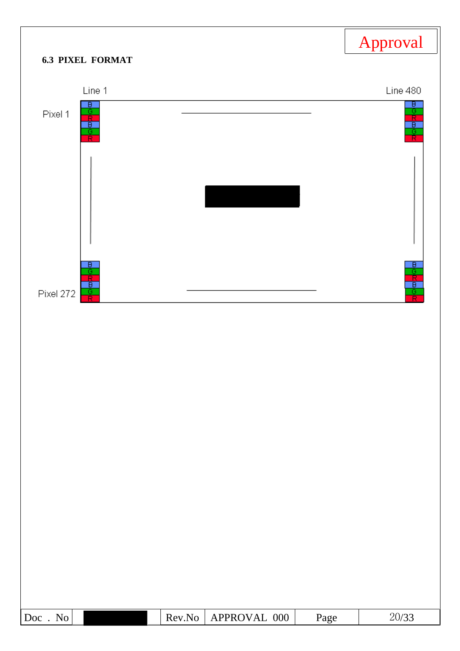|                                                                             |        |              |      | Approval             |
|-----------------------------------------------------------------------------|--------|--------------|------|----------------------|
| <b>6.3 PIXEL FORMAT</b>                                                     |        |              |      |                      |
| Line 1                                                                      |        |              |      | Line 480             |
| $\overline{\mathsf{B}}$ .<br>jo <mark>¤</mark> ao <mark>¤</mark><br>Pixel 1 |        |              |      | 고아파파아프               |
|                                                                             |        |              |      |                      |
| $\overline{B}$<br>ত<br>$\frac{1}{\sqrt{2}}$<br>Pixel 272                    |        |              |      | 마 <mark>어머이</mark> 프 |
|                                                                             |        |              |      |                      |
|                                                                             |        |              |      |                      |
|                                                                             |        |              |      |                      |
|                                                                             |        |              |      |                      |
|                                                                             |        |              |      |                      |
|                                                                             |        |              |      |                      |
|                                                                             |        |              |      |                      |
|                                                                             |        |              |      |                      |
|                                                                             |        |              |      |                      |
|                                                                             |        |              |      |                      |
|                                                                             |        |              |      |                      |
| Doc. No                                                                     | Rev.No | APPROVAL 000 | Page | 20/33                |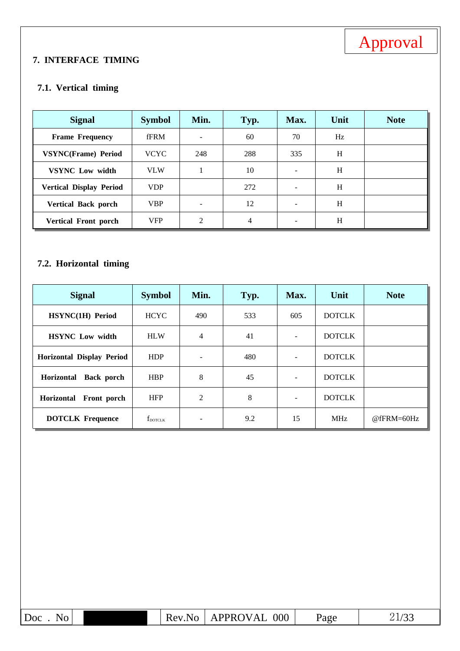#### **7. INTERFACE TIMING**

#### **7.1. Vertical timing**

| <b>Signal</b>                  | <b>Symbol</b> | Min.           | Typ.           | Max.                     | Unit | <b>Note</b> |
|--------------------------------|---------------|----------------|----------------|--------------------------|------|-------------|
| <b>Frame Frequency</b>         | fFRM          |                | 60             | 70                       | Hz   |             |
| <b>VSYNC(Frame) Period</b>     | <b>VCYC</b>   | 248            | 288            | 335                      | H    |             |
| <b>VSYNC</b> Low width         | <b>VLW</b>    |                | 10             | $\overline{\phantom{a}}$ | H    |             |
| <b>Vertical Display Period</b> | <b>VDP</b>    |                | 272            |                          | H    |             |
| <b>Vertical Back porch</b>     | <b>VBP</b>    |                | 12             | $\overline{\phantom{a}}$ | H    |             |
| Vertical Front porch           | <b>VFP</b>    | $\mathfrak{D}$ | $\overline{4}$ |                          | H    |             |

## **7.2. Horizontal timing**

| <b>Signal</b>                          | <b>Symbol</b>       | Min.           | Typ. | Max.                     | Unit          | <b>Note</b> |
|----------------------------------------|---------------------|----------------|------|--------------------------|---------------|-------------|
| HSYNC(1H) Period                       | <b>HCYC</b>         | 490            | 533  | 605                      | <b>DOTCLK</b> |             |
| <b>HSYNC</b> Low width                 | <b>HLW</b>          | $\overline{4}$ | 41   |                          | <b>DOTCLK</b> |             |
| <b>Horizontal Display Period</b>       | <b>HDP</b>          |                | 480  |                          | <b>DOTCLK</b> |             |
| <b>Back</b> porch<br><b>Horizontal</b> | <b>HBP</b>          | 8              | 45   | $\overline{\phantom{a}}$ | <b>DOTCLK</b> |             |
| <b>Horizontal</b><br>Front porch       | <b>HFP</b>          | 2              | 8    |                          | <b>DOTCLK</b> |             |
| <b>DOTCLK Frequence</b>                | $f_{\text{DOTCLK}}$ |                | 9.2  | 15                       | <b>MHz</b>    | @fFRM=60Hz  |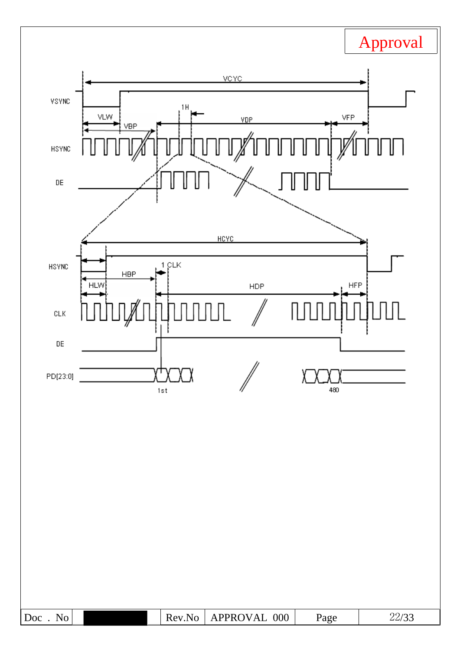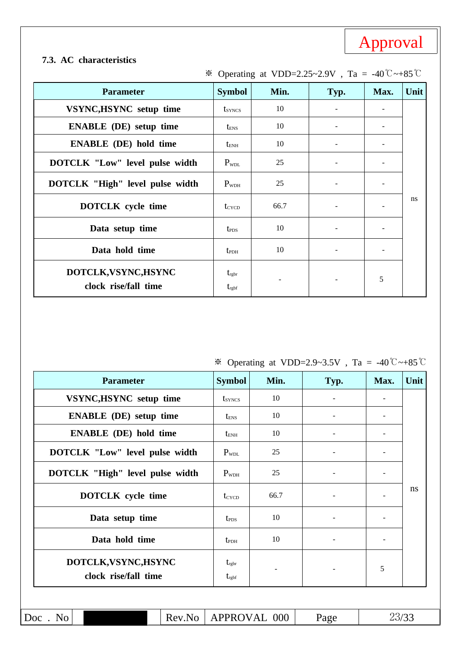#### **7.3. AC characteristics**

| <b>Parameter</b>                             | <b>Symbol</b>                       | Min. | Typ. | Max. | Unit |
|----------------------------------------------|-------------------------------------|------|------|------|------|
| <b>VSYNC, HSYNC</b> setup time               | t <sub>syncs</sub>                  | 10   |      |      |      |
| <b>ENABLE</b> (DE) setup time                | $t_{\scriptscriptstyle ENS}$        | 10   |      |      |      |
| <b>ENABLE</b> (DE) hold time                 | $t_{\rm ENH}$                       | 10   |      |      |      |
| <b>DOTCLK "Low" level pulse width</b>        | $P_{WDL}$                           | 25   |      |      |      |
| <b>DOTCLK "High" level pulse width</b>       | $P_{WDH}$                           | 25   |      |      |      |
| <b>DOTCLK</b> cycle time                     | $t_{\text{CYCD}}$                   | 66.7 |      |      | ns   |
| Data setup time                              | <b>t</b> <sub>PDS</sub>             | 10   |      |      |      |
| Data hold time                               | $t_{\rm{PDH}}$                      | 10   |      |      |      |
| DOTCLK, VSYNC, HSYNC<br>clock rise/fall time | $t_{\rm rgbr}$<br>$t_{\text{rgbf}}$ |      |      | 5    |      |

## ※ Operating at VDD=2.25~2.9V , Ta = -40℃~+85℃

※ Operating at VDD=2.9~3.5V , Ta = -40℃~+85℃

| <b>Parameter</b>                       | <b>Symbol</b>           | Min. | Typ. | Max. | Unit |
|----------------------------------------|-------------------------|------|------|------|------|
| VSYNC, HSYNC setup time                | t <sub>syncs</sub>      | 10   |      |      |      |
| <b>ENABLE</b> (DE) setup time          | $t_{\text{ENS}}$        | 10   |      |      |      |
| <b>ENABLE</b> (DE) hold time           | <b>t</b> <sub>ENH</sub> | 10   |      |      |      |
| <b>DOTCLK "Low" level pulse width</b>  | $P_{WDL}$               | 25   |      |      |      |
| <b>DOTCLK "High" level pulse width</b> | $P_{WDH}$               | 25   |      |      |      |
| <b>DOTCLK</b> cycle time               | t <sub>cycp</sub>       | 66.7 |      |      | ns   |
| Data setup time                        | $t_{\rm{PDS}}$          | 10   |      |      |      |
| Data hold time                         | $t_{\rm{PDH}}$          | 10   |      |      |      |
| DOTCLK, VSYNC, HSYNC                   | $t_{\rm rgbr}$          |      |      | 5    |      |
| clock rise/fall time                   | $t_{\rm rgbf}$          |      |      |      |      |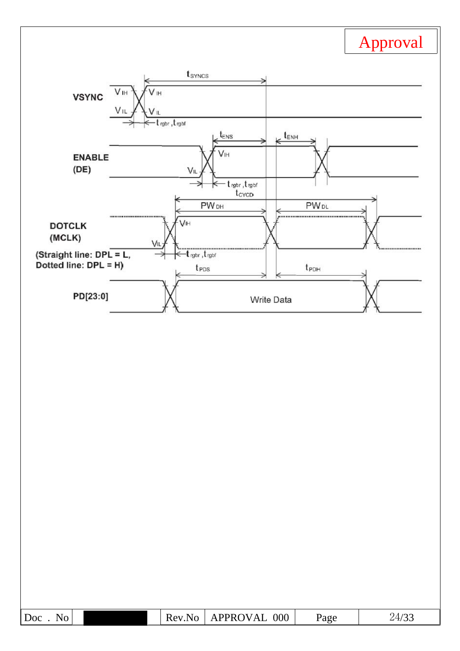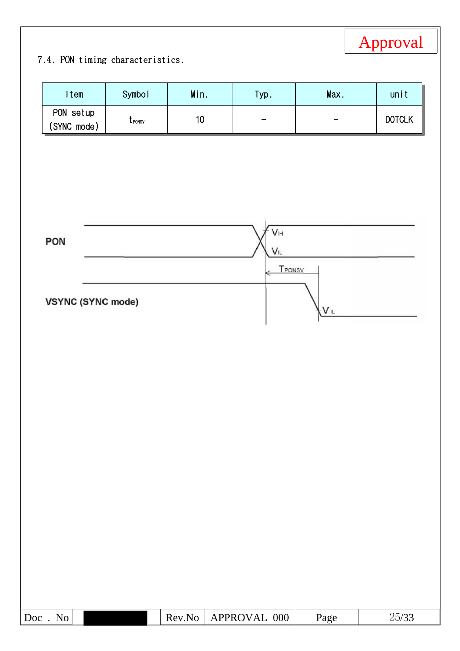# 7.4. PON timing characteristics.

| Item<br>PON setup        | Symbol             | Min. | Typ.                       | Max.       | unit          |
|--------------------------|--------------------|------|----------------------------|------------|---------------|
| (SYNC mode)              | t <sub>ronsv</sub> | $10$ |                            |            | <b>DOTCLK</b> |
|                          |                    |      |                            |            |               |
|                          |                    |      |                            |            |               |
| PON                      |                    |      | $\mathsf{V}\vphantom{M}$ i |            |               |
|                          |                    |      | $V_{IL}$<br>TPONSV         |            |               |
| <b>VSYNC (SYNC mode)</b> |                    |      |                            |            |               |
|                          |                    |      |                            | <b>VIL</b> |               |
|                          |                    |      |                            |            |               |
|                          |                    |      |                            |            |               |
|                          |                    |      |                            |            |               |
|                          |                    |      |                            |            |               |
|                          |                    |      |                            |            |               |
|                          |                    |      |                            |            |               |
|                          |                    |      |                            |            |               |
|                          |                    |      |                            |            |               |
|                          |                    |      |                            |            |               |
|                          |                    |      |                            |            |               |
|                          |                    |      |                            |            |               |
|                          |                    |      |                            |            |               |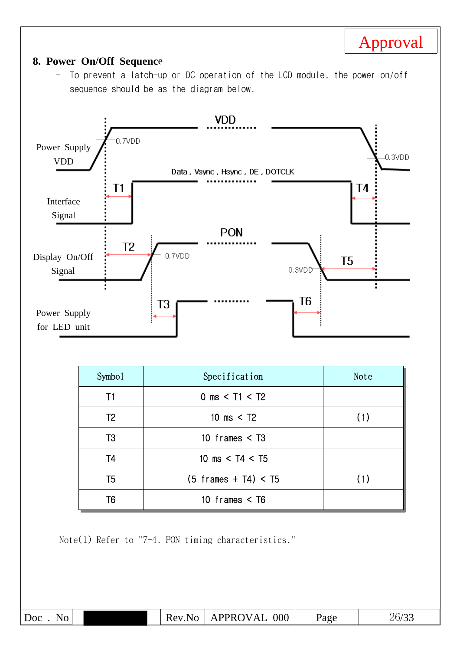### **8. Power On/Off Sequenc**e

- To prevent a latch-up or DC operation of the LCD module, the power on/off sequence should be as the diagram below.



| Symbo1         | Specification                  | Note |
|----------------|--------------------------------|------|
| T1             | 0 ms $<$ T1 $<$ T2             |      |
| T <sub>2</sub> | 10 ms $<$ T2                   | (1)  |
| T <sub>3</sub> | 10 frames $<$ T <sub>3</sub>   |      |
| T <sub>4</sub> | 10 ms $<$ T4 $<$ T5            |      |
| T <sub>5</sub> | $(5 \text{ frames} + T4) < T5$ | (1)  |
| T6             | 10 frames $\leq$ T6            |      |

Note(1) Refer to "7-4. PON timing characteristics."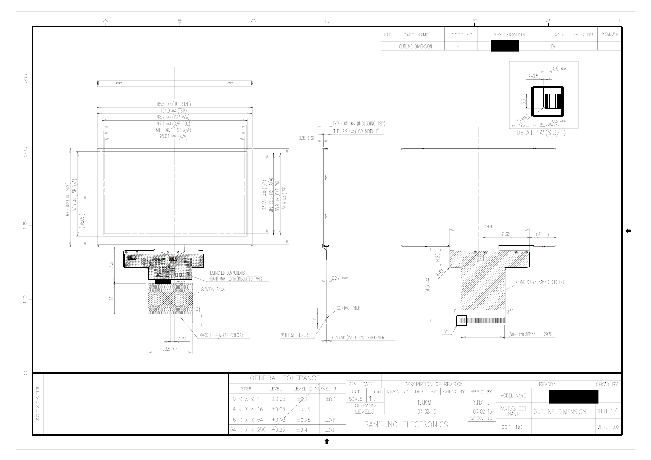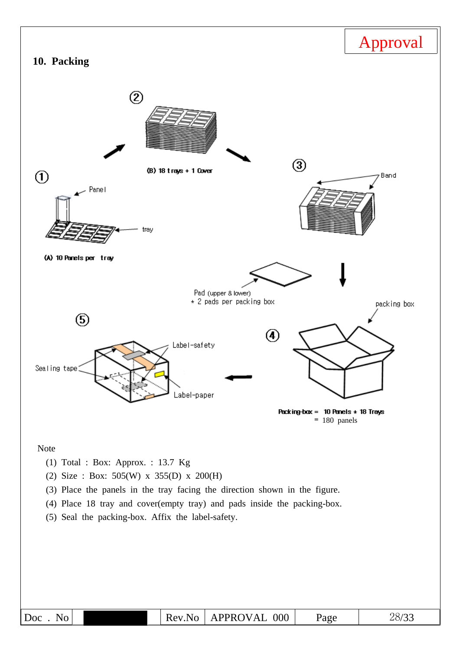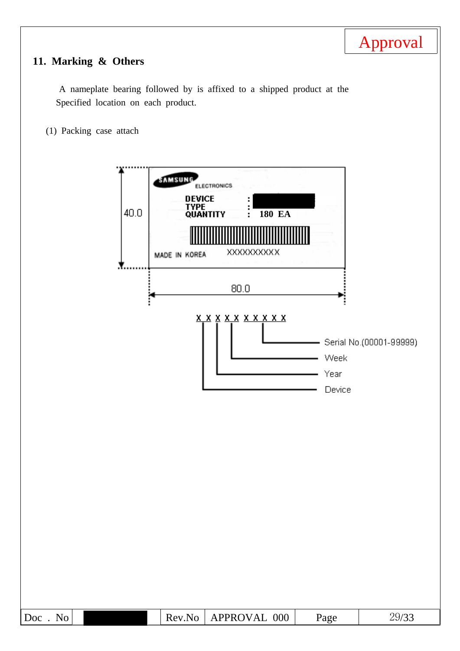# **11. Marking & Others**

A nameplate bearing followed by is affixed to a shipped product at the Specified location on each product.

(1) Packing case attach

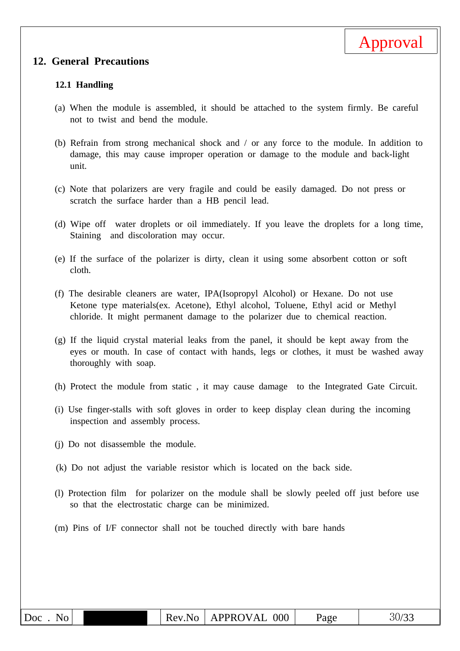

#### **12. General Precautions**

#### **12.1 Handling**

- (a) When the module is assembled, it should be attached to the system firmly. Be careful not to twist and bend the module.
- (b) Refrain from strong mechanical shock and / or any force to the module. In addition to damage, this may cause improper operation or damage to the module and back-light unit.
- (c) Note that polarizers are very fragile and could be easily damaged. Do not press or scratch the surface harder than a HB pencil lead.
- (d) Wipe off water droplets or oil immediately. If you leave the droplets for a long time, Staining and discoloration may occur.
- (e) If the surface of the polarizer is dirty, clean it using some absorbent cotton or soft cloth.
- (f) The desirable cleaners are water, IPA(Isopropyl Alcohol) or Hexane. Do not use Ketone type materials(ex. Acetone), Ethyl alcohol, Toluene, Ethyl acid or Methyl chloride. It might permanent damage to the polarizer due to chemical reaction.
- (g) If the liquid crystal material leaks from the panel, it should be kept away from the eyes or mouth. In case of contact with hands, legs or clothes, it must be washed away thoroughly with soap.
- (h) Protect the module from static , it may cause damage to the Integrated Gate Circuit.
- (i) Use finger-stalls with soft gloves in order to keep display clean during the incoming inspection and assembly process.
- (j) Do not disassemble the module.
- (k) Do not adjust the variable resistor which is located on the back side.
- (l) Protection film for polarizer on the module shall be slowly peeled off just before use so that the electrostatic charge can be minimized.
- (m) Pins of I/F connector shall not be touched directly with bare hands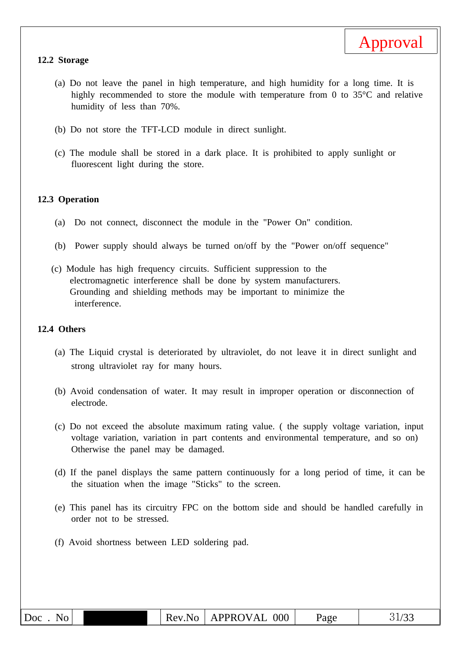

#### **12.2 Storage**

- (a) Do not leave the panel in high temperature, and high humidity for a long time. It is highly recommended to store the module with temperature from 0 to 35°C and relative humidity of less than 70%.
- (b) Do not store the TFT-LCD module in direct sunlight.
- (c) The module shall be stored in a dark place. It is prohibited to apply sunlight or fluorescent light during the store.

#### **12.3 Operation**

- (a) Do not connect, disconnect the module in the "Power On" condition.
- (b) Power supply should always be turned on/off by the "Power on/off sequence"
- (c) Module has high frequency circuits. Sufficient suppression to the electromagnetic interference shall be done by system manufacturers. Grounding and shielding methods may be important to minimize the interference.

#### **12.4 Others**

- (a) The Liquid crystal is deteriorated by ultraviolet, do not leave it in direct sunlight and strong ultraviolet ray for many hours.
- (b) Avoid condensation of water. It may result in improper operation or disconnection of electrode.
- (c) Do not exceed the absolute maximum rating value. ( the supply voltage variation, input voltage variation, variation in part contents and environmental temperature, and so on) Otherwise the panel may be damaged.
- (d) If the panel displays the same pattern continuously for a long period of time, it can be the situation when the image "Sticks" to the screen.
- (e) This panel has its circuitry FPC on the bottom side and should be handled carefully in order not to be stressed.
- (f) Avoid shortness between LED soldering pad.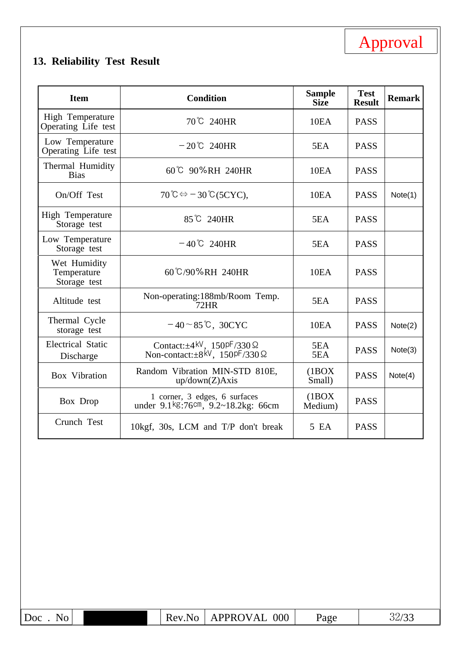# **13. Reliability Test Result**

| <b>Item</b>                                        | <b>Condition</b>                                                                                                            | <b>Sample</b><br><b>Size</b> | <b>Test</b><br><b>Result</b> | <b>Remark</b> |
|----------------------------------------------------|-----------------------------------------------------------------------------------------------------------------------------|------------------------------|------------------------------|---------------|
| High Temperature<br>Operating Life test            | 70°C 240HR                                                                                                                  | 10EA                         | <b>PASS</b>                  |               |
| Low Temperature<br>Operating Life test             | $-20^{\circ}$ C 240HR                                                                                                       | 5EA                          | <b>PASS</b>                  |               |
| Thermal Humidity<br><b>Bias</b>                    | 60°C 90%RH 240HR                                                                                                            | 10 <sub>E</sub> A            | <b>PASS</b>                  |               |
| On/Off Test                                        | $70^{\circ}\text{C} \Leftrightarrow -30^{\circ}\text{C}$ (5CYC),                                                            | 10EA                         | <b>PASS</b>                  | Note(1)       |
| High Temperature<br>Storage test                   | 85 ℃ 240HR                                                                                                                  | 5EA                          | <b>PASS</b>                  |               |
| Low Temperature<br>Storage test                    | $-40^{\circ}$ C 240HR                                                                                                       | 5EA                          | <b>PASS</b>                  |               |
| Wet Humidity<br>Temperature<br>Storage test        | 60℃/90%RH 240HR                                                                                                             | 10EA                         | <b>PASS</b>                  |               |
| Altitude test                                      | Non-operating:188mb/Room Temp.<br>72HR                                                                                      | 5EA                          | <b>PASS</b>                  |               |
| Thermal Cycle<br>storage test                      | $-40 \sim 85$ °C, 30CYC                                                                                                     | 10EA                         | <b>PASS</b>                  | Note(2)       |
| <b>Electrical Static</b><br>Discharge              | Contact: $\pm 4$ <sup>kV</sup> , 150 <sup>pF</sup> /330 $\Omega$<br>Non-contact: $\pm 8$ <sup>kV</sup> , 150pF/330 $\Omega$ | 5EA<br>5EA                   | <b>PASS</b>                  | Note(3)       |
| Box Vibration                                      | Random Vibration MIN-STD 810E,<br>up/down(Z) A x is                                                                         | (1BOX)<br>Small)             | <b>PASS</b>                  | Note(4)       |
| Box Drop                                           | 1 corner, 3 edges, 6 surfaces<br>under $9.1 \text{kg}$ :76cm, $9.2 \text{~} 18.2 \text{kg}$ : 66cm                          | (1BOX)<br>Medium)            | <b>PASS</b>                  |               |
| Crunch Test<br>10kgf, 30s, LCM and T/P don't break |                                                                                                                             | 5 EA                         | <b>PASS</b>                  |               |